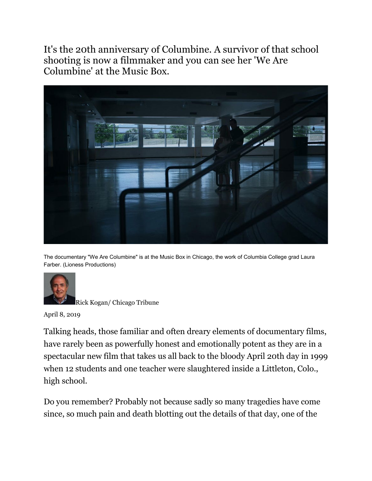It's the 20th anniversary of Columbine. A survivor of that school shooting is now a filmmaker and you can see her 'We Are Columbine' at the Music Box.



The documentary "We Are Columbine" is at the Music Box in Chicago, the work of Columbia College grad Laura Farber. (Lioness Productions)



[Rick Kogan/](https://www.chicagotribune.com/entertainment/chinews-rick-kogans-sidewalks-20130507-staff.html#nt=byline) Chicago Tribune

April 8, 2019

Talking heads, those familiar and often dreary elements of documentary films, have rarely been as powerfully honest and emotionally potent as they are in a spectacular new film that takes us all back to the bloody April 20th day in 1999 when 12 students and one teacher were slaughtered inside a Littleton, Colo., high school.

Do you remember? Probably not because sadly so many tragedies have come since, so much pain and death blotting out the details of that day, one of the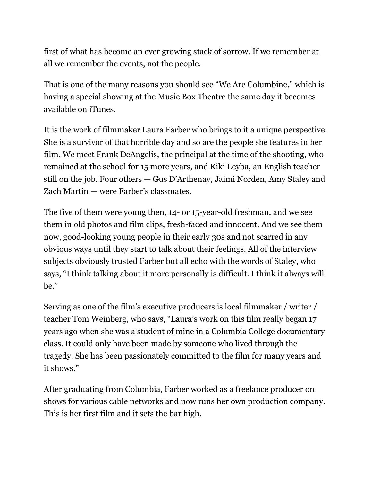first of what has become an ever growing stack of sorrow. If we remember at all we remember the events, not the people.

That is one of the many reasons you should see ["We Are Columbine,"](https://wearecolumbinefilm.com/about-the-film/) which is having a special showing at the Music Box Theatre the same day it becomes available on iTunes.

It is the work of filmmaker Laura Farber who brings to it a unique perspective. She is a survivor of that horrible day and so are the people she features in her film. We meet Frank DeAngelis, the principal at the time of the shooting, who remained at the school for 15 more years, and Kiki Leyba, an English teacher still on the job. Four others — Gus D'Arthenay, Jaimi Norden, Amy Staley and Zach Martin — were Farber's classmates.

The five of them were young then, 14- or 15-year-old freshman, and we see them in old photos and film clips, fresh-faced and innocent. And we see them now, good-looking young people in their early 30s and not scarred in any obvious ways until they start to talk about their feelings. All of the interview subjects obviously trusted Farber but all echo with the words of Staley, who says, "I think talking about it more personally is difficult. I think it always will be."

Serving as one of the film's executive producers is local filmmaker / writer / teacher Tom Weinberg, who says, "Laura's work on this film really began 17 years ago when she was a student of mine in a Columbia College documentary class. It could only have been made by someone who lived through the tragedy. She has been passionately committed to the film for many years and it shows."

After graduating from Columbia, Farber worked as a freelance producer on shows for various cable networks and now runs her own production company. This is her first film and it sets the bar high.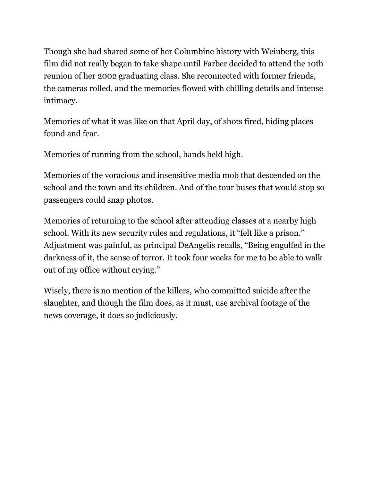Though she had shared some of her Columbine history with Weinberg, this film did not really began to take shape until Farber decided to attend the 10th reunion of her 2002 graduating class. She reconnected with former friends, the cameras rolled, and the memories flowed with chilling details and intense intimacy.

Memories of what it was like on that April day, of shots fired, hiding places found and fear.

Memories of running from the school, hands held high.

Memories of the voracious and insensitive media mob that descended on the school and the town and its children. And of the tour buses that would stop so passengers could snap photos.

Memories of returning to the school after attending classes at a nearby high school. With its new security rules and regulations, it "felt like a prison." Adjustment was painful, as principal DeAngelis recalls, "Being engulfed in the darkness of it, the sense of terror. It took four weeks for me to be able to walk out of my office without crying."

Wisely, there is no mention of the killers, who committed suicide after the slaughter, and though the film does, as it must, use archival footage of the news coverage, it does so judiciously.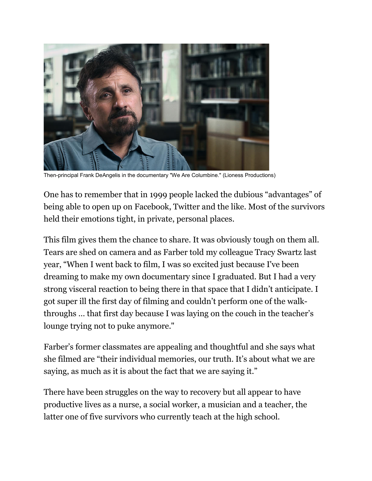

Then-principal Frank DeAngelis in the documentary "We Are Columbine." (Lioness Productions)

One has to remember that in 1999 people lacked the dubious "advantages" of being able to open up on Facebook, Twitter and the like. Most of the survivors held their emotions tight, in private, personal places.

This film gives them the chance to share. It was obviously tough on them all. Tears are shed on camera and as Farber [told my colleague Tracy Swartz](https://www.chicagotribune.com/entertainment/chicagoinc/ct-ent-we-are-columbine-laura-farber-20180418-story.html) last year, "When I went back to film, I was so excited just because I've been dreaming to make my own documentary since I graduated. But I had a very strong visceral reaction to being there in that space that I didn't anticipate. I got super ill the first day of filming and couldn't perform one of the walkthroughs … that first day because I was laying on the couch in the teacher's lounge trying not to puke anymore."

Farber's former classmates are appealing and thoughtful and she says what she filmed are "their individual memories, our truth. It's about what we are saying, as much as it is about the fact that we are saying it."

There have been struggles on the way to recovery but all appear to have productive lives as a nurse, a social worker, a musician and a teacher, the latter one of five survivors who currently teach at the high school.